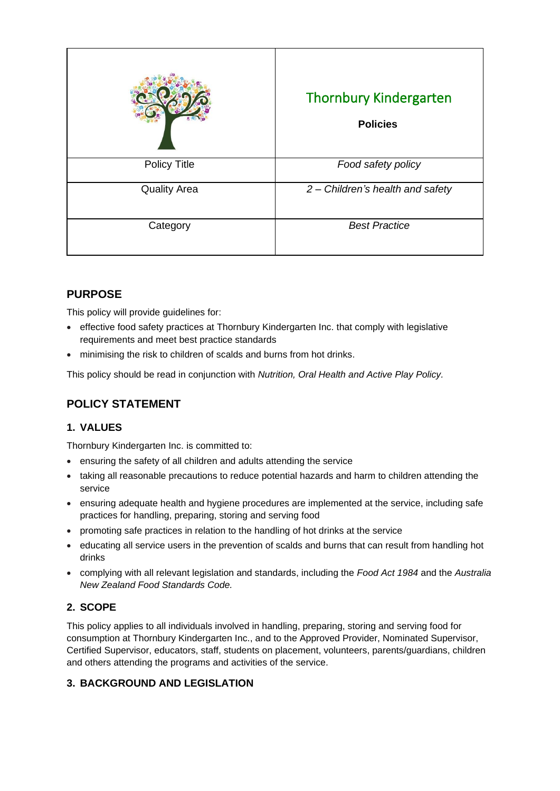|                     | <b>Thornbury Kindergarten</b><br><b>Policies</b> |
|---------------------|--------------------------------------------------|
| <b>Policy Title</b> | Food safety policy                               |
| <b>Quality Area</b> | 2 - Children's health and safety                 |
| Category            | <b>Best Practice</b>                             |

# **PURPOSE**

This policy will provide guidelines for:

- effective food safety practices at Thornbury Kindergarten Inc. that comply with legislative requirements and meet best practice standards
- minimising the risk to children of scalds and burns from hot drinks.

This policy should be read in conjunction with *Nutrition, Oral Health and Active Play Policy.*

# **POLICY STATEMENT**

### **1. VALUES**

Thornbury Kindergarten Inc. is committed to:

- ensuring the safety of all children and adults attending the service
- taking all reasonable precautions to reduce potential hazards and harm to children attending the service
- ensuring adequate health and hygiene procedures are implemented at the service, including safe practices for handling, preparing, storing and serving food
- promoting safe practices in relation to the handling of hot drinks at the service
- educating all service users in the prevention of scalds and burns that can result from handling hot drinks
- complying with all relevant legislation and standards, including the *Food Act 1984* and the *Australia New Zealand Food Standards Code.*

### **2. SCOPE**

This policy applies to all individuals involved in handling, preparing, storing and serving food for consumption at Thornbury Kindergarten Inc., and to the Approved Provider, Nominated Supervisor, Certified Supervisor, educators, staff, students on placement, volunteers, parents/guardians, children and others attending the programs and activities of the service.

# **3. BACKGROUND AND LEGISLATION**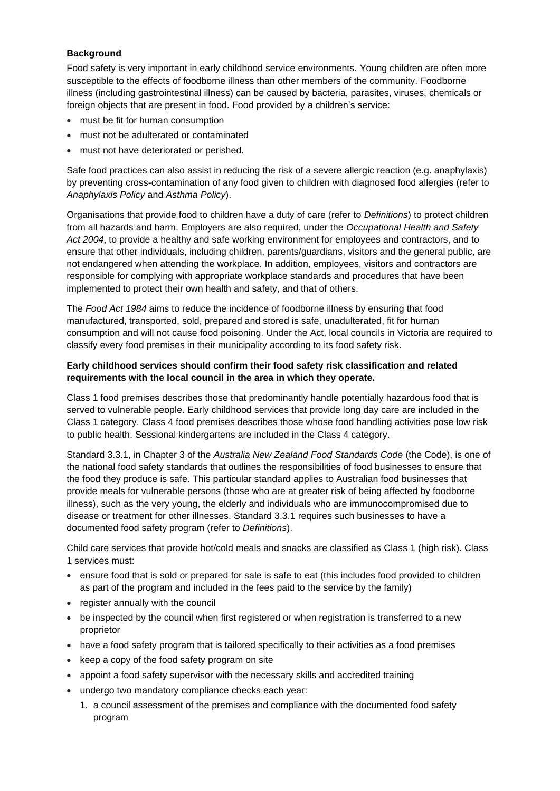#### **Background**

Food safety is very important in early childhood service environments. Young children are often more susceptible to the effects of foodborne illness than other members of the community. Foodborne illness (including gastrointestinal illness) can be caused by bacteria, parasites, viruses, chemicals or foreign objects that are present in food. Food provided by a children's service:

- must be fit for human consumption
- must not be adulterated or contaminated
- must not have deteriorated or perished.

Safe food practices can also assist in reducing the risk of a severe allergic reaction (e.g. anaphylaxis) by preventing cross-contamination of any food given to children with diagnosed food allergies (refer to *Anaphylaxis Policy* and *Asthma Policy*).

Organisations that provide food to children have a duty of care (refer to *Definitions*) to protect children from all hazards and harm. Employers are also required, under the *Occupational Health and Safety Act 2004*, to provide a healthy and safe working environment for employees and contractors, and to ensure that other individuals, including children, parents/guardians, visitors and the general public, are not endangered when attending the workplace. In addition, employees, visitors and contractors are responsible for complying with appropriate workplace standards and procedures that have been implemented to protect their own health and safety, and that of others.

The *Food Act 1984* aims to reduce the incidence of foodborne illness by ensuring that food manufactured, transported, sold, prepared and stored is safe, unadulterated, fit for human consumption and will not cause food poisoning. Under the Act, local councils in Victoria are required to classify every food premises in their municipality according to its food safety risk.

#### **Early childhood services should confirm their food safety risk classification and related requirements with the local council in the area in which they operate.**

Class 1 food premises describes those that predominantly handle potentially hazardous food that is served to vulnerable people. Early childhood services that provide long day care are included in the Class 1 category. Class 4 food premises describes those whose food handling activities pose low risk to public health. Sessional kindergartens are included in the Class 4 category.

Standard 3.3.1, in Chapter 3 of the *Australia New Zealand Food Standards Code* (the Code), is one of the national food safety standards that outlines the responsibilities of food businesses to ensure that the food they produce is safe. This particular standard applies to Australian food businesses that provide meals for vulnerable persons (those who are at greater risk of being affected by foodborne illness), such as the very young, the elderly and individuals who are immunocompromised due to disease or treatment for other illnesses. Standard 3.3.1 requires such businesses to have a documented food safety program (refer to *Definitions*).

Child care services that provide hot/cold meals and snacks are classified as Class 1 (high risk). Class 1 services must:

- ensure food that is sold or prepared for sale is safe to eat (this includes food provided to children as part of the program and included in the fees paid to the service by the family)
- register annually with the council
- be inspected by the council when first registered or when registration is transferred to a new proprietor
- have a food safety program that is tailored specifically to their activities as a food premises
- keep a copy of the food safety program on site
- appoint a food safety supervisor with the necessary skills and accredited training
- undergo two mandatory compliance checks each year:
	- 1. a council assessment of the premises and compliance with the documented food safety program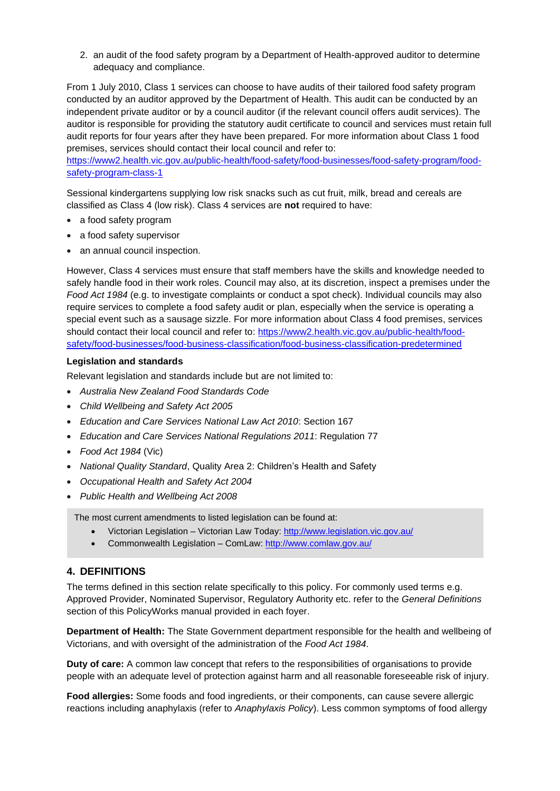2. an audit of the food safety program by a Department of Health-approved auditor to determine adequacy and compliance.

From 1 July 2010, Class 1 services can choose to have audits of their tailored food safety program conducted by an auditor approved by the Department of Health. This audit can be conducted by an independent private auditor or by a council auditor (if the relevant council offers audit services). The auditor is responsible for providing the statutory audit certificate to council and services must retain full audit reports for four years after they have been prepared. For more information about Class 1 food premises, services should contact their local council and refer to:

[https://www2.health.vic.gov.au/public-health/food-safety/food-businesses/food-safety-program/food](https://www2.health.vic.gov.au/public-health/food-safety/food-businesses/food-safety-program/food-safety-program-class-1)[safety-program-class-1](https://www2.health.vic.gov.au/public-health/food-safety/food-businesses/food-safety-program/food-safety-program-class-1)

Sessional kindergartens supplying low risk snacks such as cut fruit, milk, bread and cereals are classified as Class 4 (low risk). Class 4 services are **not** required to have:

- a food safety program
- a food safety supervisor
- an annual council inspection.

However, Class 4 services must ensure that staff members have the skills and knowledge needed to safely handle food in their work roles. Council may also, at its discretion, inspect a premises under the *Food Act 1984* (e.g. to investigate complaints or conduct a spot check). Individual councils may also require services to complete a food safety audit or plan, especially when the service is operating a special event such as a sausage sizzle. For more information about Class 4 food premises, services should contact their local council and refer to: [https://www2.health.vic.gov.au/public-health/food](https://www2.health.vic.gov.au/public-health/food-safety/food-businesses/food-business-classification/food-business-classification-predetermined)[safety/food-businesses/food-business-classification/food-business-classification-predetermined](https://www2.health.vic.gov.au/public-health/food-safety/food-businesses/food-business-classification/food-business-classification-predetermined)

#### **Legislation and standards**

Relevant legislation and standards include but are not limited to:

- *Australia New Zealand Food Standards Code*
- *Child Wellbeing and Safety Act 2005*
- *Education and Care Services National Law Act 2010*: Section 167
- *Education and Care Services National Regulations 2011*: Regulation 77
- *Food Act 1984* (Vic)
- *National Quality Standard*, Quality Area 2: Children's Health and Safety
- *Occupational Health and Safety Act 2004*
- *Public Health and Wellbeing Act 2008*

The most current amendments to listed legislation can be found at:

- Victorian Legislation Victorian Law Today:<http://www.legislation.vic.gov.au/>
- Commonwealth Legislation ComLaw:<http://www.comlaw.gov.au/>

### **4. DEFINITIONS**

The terms defined in this section relate specifically to this policy. For commonly used terms e.g. Approved Provider, Nominated Supervisor, Regulatory Authority etc. refer to the *General Definitions* section of this PolicyWorks manual provided in each foyer.

**Department of Health:** The State Government department responsible for the health and wellbeing of Victorians, and with oversight of the administration of the *Food Act 1984*.

**Duty of care:** A common law concept that refers to the responsibilities of organisations to provide people with an adequate level of protection against harm and all reasonable foreseeable risk of injury.

**Food allergies:** Some foods and food ingredients, or their components, can cause severe allergic reactions including anaphylaxis (refer to *Anaphylaxis Policy*). Less common symptoms of food allergy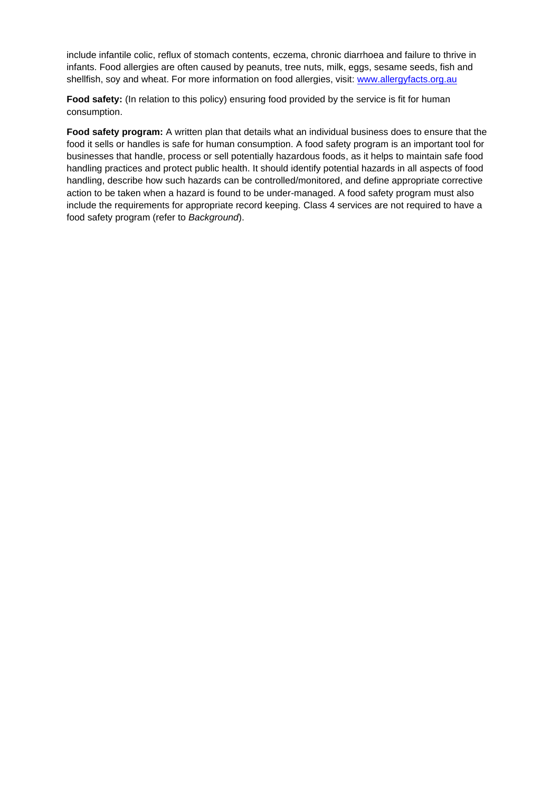include infantile colic, reflux of stomach contents, eczema, chronic diarrhoea and failure to thrive in infants. Food allergies are often caused by peanuts, tree nuts, milk, eggs, sesame seeds, fish and shellfish, soy and wheat. For more information on food allergies, visit: [www.allergyfacts.org.au](http://www.allergyfacts.org.au/)

**Food safety:** (In relation to this policy) ensuring food provided by the service is fit for human consumption.

**Food safety program:** A written plan that details what an individual business does to ensure that the food it sells or handles is safe for human consumption. A food safety program is an important tool for businesses that handle, process or sell potentially hazardous foods, as it helps to maintain safe food handling practices and protect public health. It should identify potential hazards in all aspects of food handling, describe how such hazards can be controlled/monitored, and define appropriate corrective action to be taken when a hazard is found to be under-managed. A food safety program must also include the requirements for appropriate record keeping. Class 4 services are not required to have a food safety program (refer to *Background*).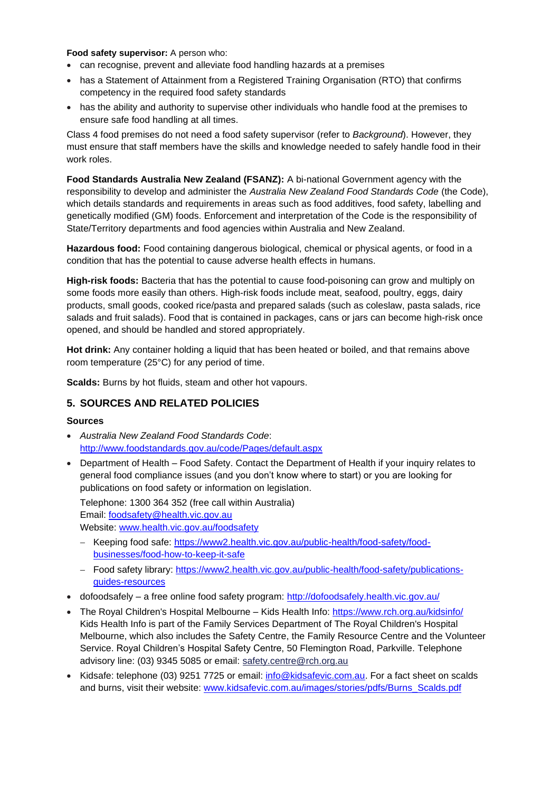#### **Food safety supervisor:** A person who:

- can recognise, prevent and alleviate food handling hazards at a premises
- has a Statement of Attainment from a Registered Training Organisation (RTO) that confirms competency in the required food safety standards
- has the ability and authority to supervise other individuals who handle food at the premises to ensure safe food handling at all times.

Class 4 food premises do not need a food safety supervisor (refer to *Background*). However, they must ensure that staff members have the skills and knowledge needed to safely handle food in their work roles.

**Food Standards Australia New Zealand (FSANZ):** A bi-national Government agency with the responsibility to develop and administer the *Australia New Zealand Food Standards Code* (the Code), which details standards and requirements in areas such as food additives, food safety, labelling and genetically modified (GM) foods. Enforcement and interpretation of the Code is the responsibility of State/Territory departments and food agencies within Australia and New Zealand.

**Hazardous food:** Food containing dangerous biological, chemical or physical agents, or food in a condition that has the potential to cause adverse health effects in humans.

**High-risk foods:** Bacteria that has the potential to cause food-poisoning can grow and multiply on some foods more easily than others. High-risk foods include meat, seafood, poultry, eggs, dairy products, small goods, cooked rice/pasta and prepared salads (such as coleslaw, pasta salads, rice salads and fruit salads). Food that is contained in packages, cans or jars can become high-risk once opened, and should be handled and stored appropriately.

**Hot drink:** Any container holding a liquid that has been heated or boiled, and that remains above room temperature (25°C) for any period of time.

**Scalds:** Burns by hot fluids, steam and other hot vapours.

### **5. SOURCES AND RELATED POLICIES**

#### **Sources**

- *Australia New Zealand Food Standards Code*: <http://www.foodstandards.gov.au/code/Pages/default.aspx>
- Department of Health Food Safety. Contact the Department of Health if your inquiry relates to general food compliance issues (and you don't know where to start) or you are looking for publications on food safety or information on legislation.

Telephone: 1300 364 352 (free call within Australia)

Email: [foodsafety@health.vic.gov.au](mailto:foodsafety@health.vic.gov.au)

Website: [www.health.vic.gov.au/foodsafety](http://www.health.vic.gov.au/foodsafety)

- − Keeping food safe: [https://www2.health.vic.gov.au/public-health/food-safety/food](https://www2.health.vic.gov.au/public-health/food-safety/food-businesses/food-how-to-keep-it-safe)[businesses/food-how-to-keep-it-safe](https://www2.health.vic.gov.au/public-health/food-safety/food-businesses/food-how-to-keep-it-safe)
- − Food safety library: [https://www2.health.vic.gov.au/public-health/food-safety/publications](https://www2.health.vic.gov.au/public-health/food-safety/publications-guides-resources)[guides-resources](https://www2.health.vic.gov.au/public-health/food-safety/publications-guides-resources)
- dofoodsafely a free online food safety program:<http://dofoodsafely.health.vic.gov.au/>
- The Royal Children's Hospital Melbourne Kids Health Info:<https://www.rch.org.au/kidsinfo/> Kids Health Info is part of the Family Services Department of The Royal Children's Hospital Melbourne, which also includes the [Safety Centre,](http://www.rch.org.au/safetycentre/) the [Family Resource Centre](http://www.rch.org.au/frc/) and the [Volunteer](http://www.rch.org.au/volunteers/)  [Service.](http://www.rch.org.au/volunteers/) Royal Children's Hospital Safety Centre, 50 Flemington Road, Parkville. Telephone advisory line: (03) 9345 5085 or email: [safety.centre@rch.org.au](mailto:safety.centre@rch.org.au)
- Kidsafe: telephone (03) 9251 7725 or email: [info@kidsafevic.com.au.](mailto:info@kidsafevic.com.au) For a fact sheet on scalds and burns, visit their website: [www.kidsafevic.com.au/images/stories/pdfs/Burns\\_Scalds.pdf](http://www.kidsafevic.com.au/images/stories/pdfs/Burns_Scalds.pdf)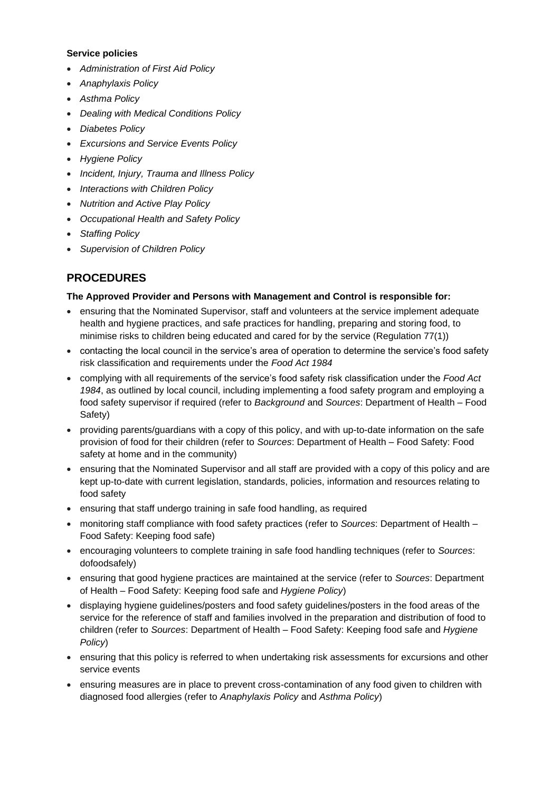#### **Service policies**

- *Administration of First Aid Policy*
- *Anaphylaxis Policy*
- *Asthma Policy*
- *Dealing with Medical Conditions Policy*
- *Diabetes Policy*
- *Excursions and Service Events Policy*
- *Hygiene Policy*
- *Incident, Injury, Trauma and Illness Policy*
- *Interactions with Children Policy*
- *Nutrition and Active Play Policy*
- *Occupational Health and Safety Policy*
- *Staffing Policy*
- *Supervision of Children Policy*

# **PROCEDURES**

#### **The Approved Provider and Persons with Management and Control is responsible for:**

- ensuring that the Nominated Supervisor, staff and volunteers at the service implement adequate health and hygiene practices, and safe practices for handling, preparing and storing food, to minimise risks to children being educated and cared for by the service (Regulation 77(1))
- contacting the local council in the service's area of operation to determine the service's food safety risk classification and requirements under the *Food Act 1984*
- complying with all requirements of the service's food safety risk classification under the *Food Act 1984*, as outlined by local council, including implementing a food safety program and employing a food safety supervisor if required (refer to *Background* and *Sources*: Department of Health – Food Safety)
- providing parents/guardians with a copy of this policy, and with up-to-date information on the safe provision of food for their children (refer to *Sources*: Department of Health – Food Safety: Food safety at home and in the community)
- ensuring that the Nominated Supervisor and all staff are provided with a copy of this policy and are kept up-to-date with current legislation, standards, policies, information and resources relating to food safety
- ensuring that staff undergo training in safe food handling, as required
- monitoring staff compliance with food safety practices (refer to *Sources*: Department of Health Food Safety: Keeping food safe)
- encouraging volunteers to complete training in safe food handling techniques (refer to *Sources*: dofoodsafely)
- ensuring that good hygiene practices are maintained at the service (refer to *Sources*: Department of Health – Food Safety: Keeping food safe and *Hygiene Policy*)
- displaying hygiene guidelines/posters and food safety guidelines/posters in the food areas of the service for the reference of staff and families involved in the preparation and distribution of food to children (refer to *Sources*: Department of Health – Food Safety: Keeping food safe and *Hygiene Policy*)
- ensuring that this policy is referred to when undertaking risk assessments for excursions and other service events
- ensuring measures are in place to prevent cross-contamination of any food given to children with diagnosed food allergies (refer to *Anaphylaxis Policy* and *Asthma Policy*)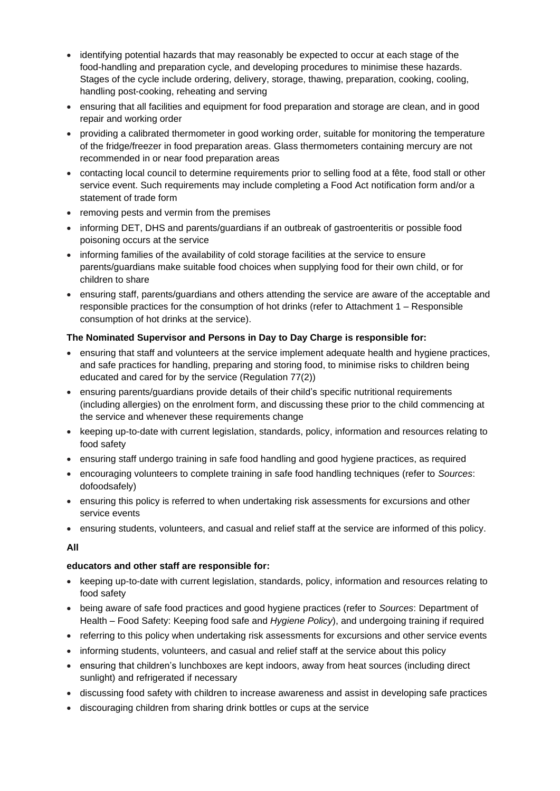- identifying potential hazards that may reasonably be expected to occur at each stage of the food-handling and preparation cycle, and developing procedures to minimise these hazards. Stages of the cycle include ordering, delivery, storage, thawing, preparation, cooking, cooling, handling post-cooking, reheating and serving
- ensuring that all facilities and equipment for food preparation and storage are clean, and in good repair and working order
- providing a calibrated thermometer in good working order, suitable for monitoring the temperature of the fridge/freezer in food preparation areas. Glass thermometers containing mercury are not recommended in or near food preparation areas
- contacting local council to determine requirements prior to selling food at a fête, food stall or other service event. Such requirements may include completing a Food Act notification form and/or a statement of trade form
- removing pests and vermin from the premises
- informing DET, DHS and parents/guardians if an outbreak of gastroenteritis or possible food poisoning occurs at the service
- informing families of the availability of cold storage facilities at the service to ensure parents/guardians make suitable food choices when supplying food for their own child, or for children to share
- ensuring staff, parents/guardians and others attending the service are aware of the acceptable and responsible practices for the consumption of hot drinks (refer to Attachment 1 – Responsible consumption of hot drinks at the service).

### **The Nominated Supervisor and Persons in Day to Day Charge is responsible for:**

- ensuring that staff and volunteers at the service implement adequate health and hygiene practices, and safe practices for handling, preparing and storing food, to minimise risks to children being educated and cared for by the service (Regulation 77(2))
- ensuring parents/guardians provide details of their child's specific nutritional requirements (including allergies) on the enrolment form, and discussing these prior to the child commencing at the service and whenever these requirements change
- keeping up-to-date with current legislation, standards, policy, information and resources relating to food safety
- ensuring staff undergo training in safe food handling and good hygiene practices, as required
- encouraging volunteers to complete training in safe food handling techniques (refer to *Sources*: dofoodsafely)
- ensuring this policy is referred to when undertaking risk assessments for excursions and other service events
- ensuring students, volunteers, and casual and relief staff at the service are informed of this policy.

### **All**

### **educators and other staff are responsible for:**

- keeping up-to-date with current legislation, standards, policy, information and resources relating to food safety
- being aware of safe food practices and good hygiene practices (refer to *Sources*: Department of Health – Food Safety: Keeping food safe and *Hygiene Policy*), and undergoing training if required
- referring to this policy when undertaking risk assessments for excursions and other service events
- informing students, volunteers, and casual and relief staff at the service about this policy
- ensuring that children's lunchboxes are kept indoors, away from heat sources (including direct sunlight) and refrigerated if necessary
- discussing food safety with children to increase awareness and assist in developing safe practices
- discouraging children from sharing drink bottles or cups at the service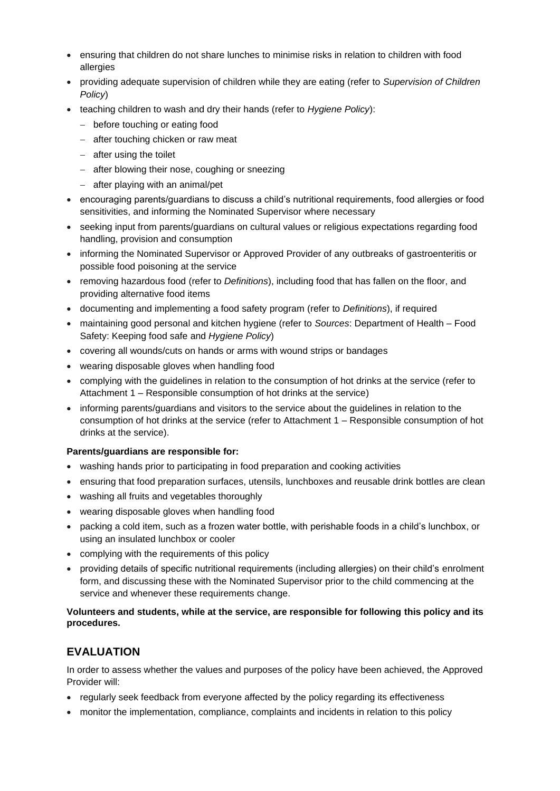- ensuring that children do not share lunches to minimise risks in relation to children with food allergies
- providing adequate supervision of children while they are eating (refer to *Supervision of Children Policy*)
- teaching children to wash and dry their hands (refer to *Hygiene Policy*):
	- − before touching or eating food
	- − after touching chicken or raw meat
	- − after using the toilet
	- − after blowing their nose, coughing or sneezing
	- − after playing with an animal/pet
- encouraging parents/guardians to discuss a child's nutritional requirements, food allergies or food sensitivities, and informing the Nominated Supervisor where necessary
- seeking input from parents/guardians on cultural values or religious expectations regarding food handling, provision and consumption
- informing the Nominated Supervisor or Approved Provider of any outbreaks of gastroenteritis or possible food poisoning at the service
- removing hazardous food (refer to *Definitions*), including food that has fallen on the floor, and providing alternative food items
- documenting and implementing a food safety program (refer to *Definitions*), if required
- maintaining good personal and kitchen hygiene (refer to *Sources*: Department of Health Food Safety: Keeping food safe and *Hygiene Policy*)
- covering all wounds/cuts on hands or arms with wound strips or bandages
- wearing disposable gloves when handling food
- complying with the guidelines in relation to the consumption of hot drinks at the service (refer to Attachment 1 – Responsible consumption of hot drinks at the service)
- informing parents/guardians and visitors to the service about the guidelines in relation to the consumption of hot drinks at the service (refer to Attachment 1 – Responsible consumption of hot drinks at the service).

#### **Parents/guardians are responsible for:**

- washing hands prior to participating in food preparation and cooking activities
- ensuring that food preparation surfaces, utensils, lunchboxes and reusable drink bottles are clean
- washing all fruits and vegetables thoroughly
- wearing disposable gloves when handling food
- packing a cold item, such as a frozen water bottle, with perishable foods in a child's lunchbox, or using an insulated lunchbox or cooler
- complying with the requirements of this policy
- providing details of specific nutritional requirements (including allergies) on their child's enrolment form, and discussing these with the Nominated Supervisor prior to the child commencing at the service and whenever these requirements change.

#### **Volunteers and students, while at the service, are responsible for following this policy and its procedures.**

# **EVALUATION**

In order to assess whether the values and purposes of the policy have been achieved, the Approved Provider will:

- regularly seek feedback from everyone affected by the policy regarding its effectiveness
- monitor the implementation, compliance, complaints and incidents in relation to this policy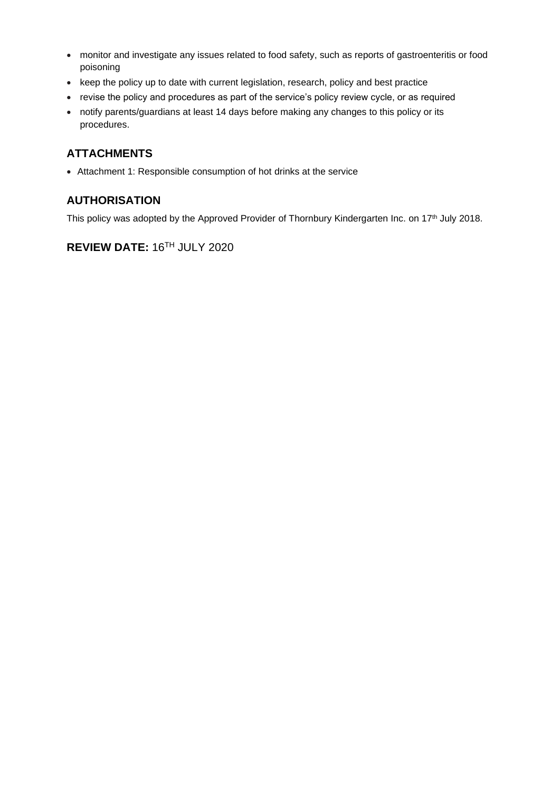- monitor and investigate any issues related to food safety, such as reports of gastroenteritis or food poisoning
- keep the policy up to date with current legislation, research, policy and best practice
- revise the policy and procedures as part of the service's policy review cycle, or as required
- notify parents/guardians at least 14 days before making any changes to this policy or its procedures.

### **ATTACHMENTS**

• Attachment 1: Responsible consumption of hot drinks at the service

### **AUTHORISATION**

This policy was adopted by the Approved Provider of Thornbury Kindergarten Inc. on 17<sup>th</sup> July 2018.

# **REVIEW DATE:** 16TH JULY 2020